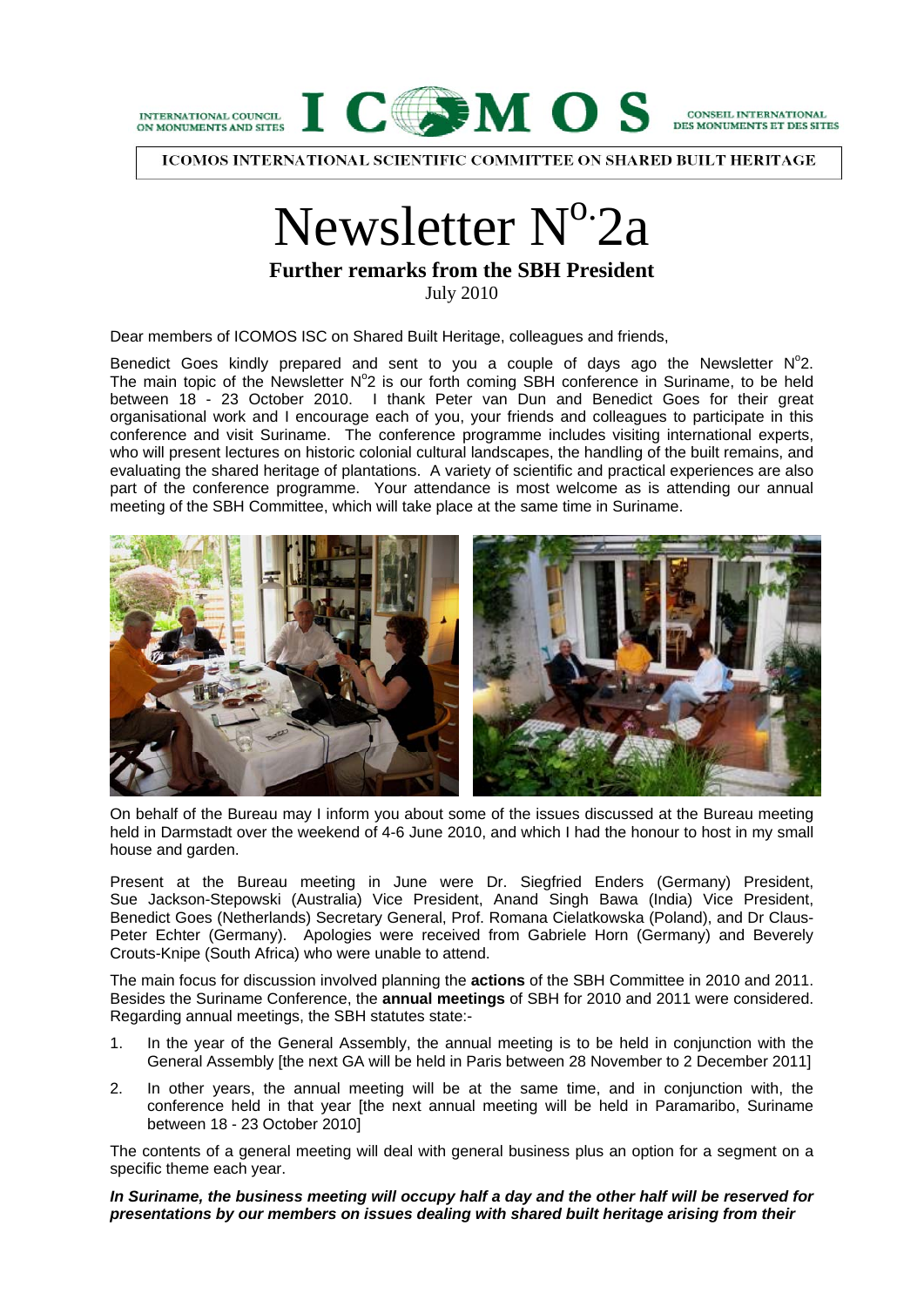

ICOMOS INTERNATIONAL SCIENTIFIC COMMITTEE ON SHARED BUILT HERITAGE

# Newsletter  $N^{\circ}$ -2a

**Further remarks from the SBH President** 

July 2010

Dear members of ICOMOS ISC on Shared Built Heritage, colleagues and friends,

Benedict Goes kindly prepared and sent to you a couple of days ago the Newsletter  $N^{\circ}2$ . The main topic of the Newsletter  $N^{\circ}2$  is our forth coming SBH conference in Suriname, to be held between 18 - 23 October 2010. I thank Peter van Dun and Benedict Goes for their great organisational work and I encourage each of you, your friends and colleagues to participate in this conference and visit Suriname. The conference programme includes visiting international experts, who will present lectures on historic colonial cultural landscapes, the handling of the built remains, and evaluating the shared heritage of plantations. A variety of scientific and practical experiences are also part of the conference programme. Your attendance is most welcome as is attending our annual meeting of the SBH Committee, which will take place at the same time in Suriname.



On behalf of the Bureau may I inform you about some of the issues discussed at the Bureau meeting held in Darmstadt over the weekend of 4-6 June 2010, and which I had the honour to host in my small house and garden.

Present at the Bureau meeting in June were Dr. Siegfried Enders (Germany) President, Sue Jackson-Stepowski (Australia) Vice President, Anand Singh Bawa (India) Vice President, Benedict Goes (Netherlands) Secretary General, Prof. Romana Cielatkowska (Poland), and Dr Claus-Peter Echter (Germany). Apologies were received from Gabriele Horn (Germany) and Beverely Crouts-Knipe (South Africa) who were unable to attend.

The main focus for discussion involved planning the **actions** of the SBH Committee in 2010 and 2011. Besides the Suriname Conference, the **annual meetings** of SBH for 2010 and 2011 were considered. Regarding annual meetings, the SBH statutes state:-

- 1. In the year of the General Assembly, the annual meeting is to be held in conjunction with the General Assembly [the next GA will be held in Paris between 28 November to 2 December 2011]
- 2. In other years, the annual meeting will be at the same time, and in conjunction with, the conference held in that year [the next annual meeting will be held in Paramaribo, Suriname between 18 - 23 October 2010]

The contents of a general meeting will deal with general business plus an option for a segment on a specific theme each year.

*In Suriname, the business meeting will occupy half a day and the other half will be reserved for presentations by our members on issues dealing with shared built heritage arising from their*